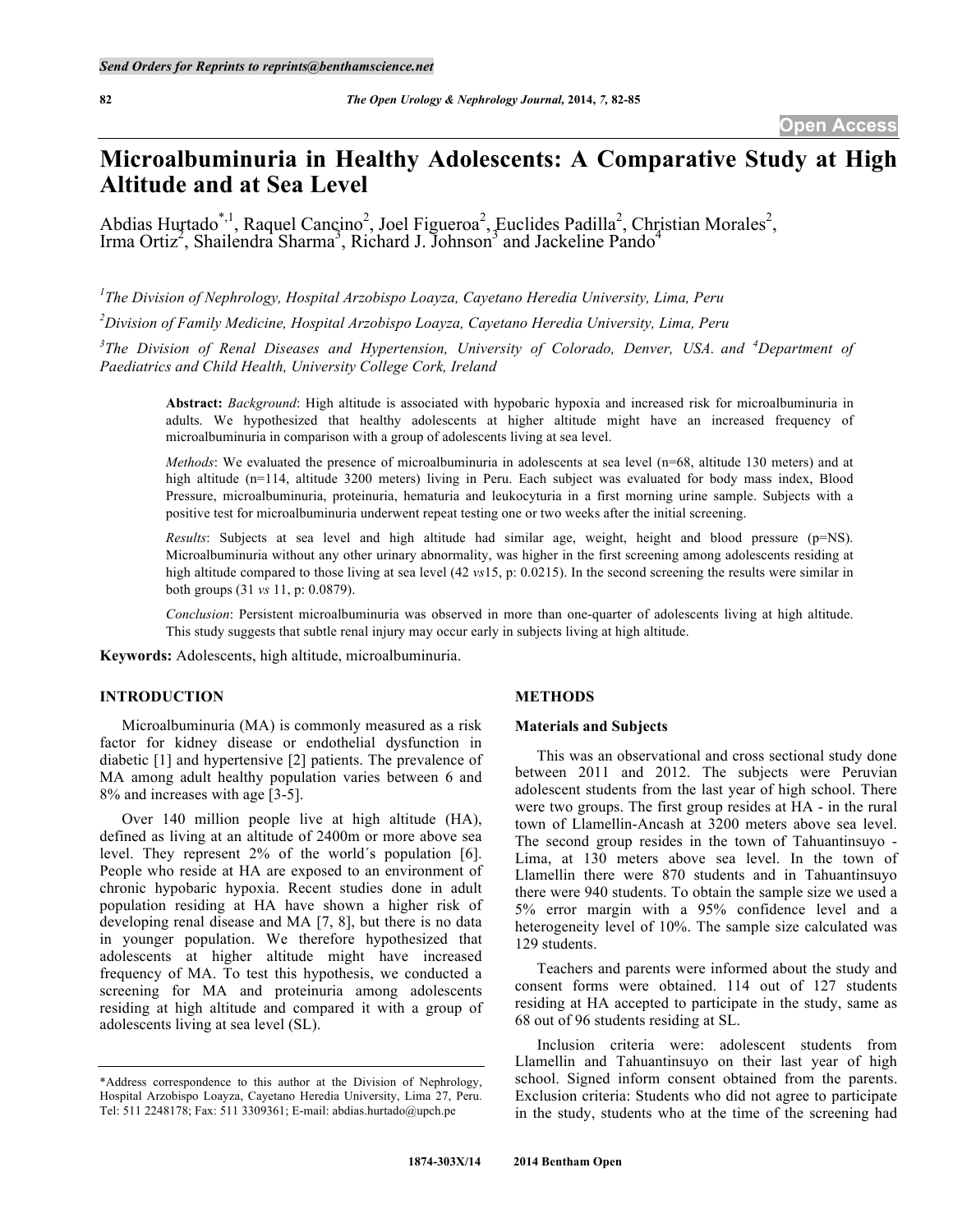# **Microalbuminuria in Healthy Adolescents: A Comparative Study at High Altitude and at Sea Level**

Abdias Hurtado<sup>\*,1</sup>, Raquel Cancino<sup>2</sup>, Joel Figueroa<sup>2</sup>, Euclides Padilla<sup>2</sup>, Christian Morales<sup>2</sup>, Irma Ortiz<sup>2</sup>, Shailendra Sharma<sup>3</sup>, Richard J. Johnson<sup>3</sup> and Jackeline Pando<sup>4</sup>

*1 The Division of Nephrology, Hospital Arzobispo Loayza, Cayetano Heredia University, Lima, Peru*

*2 Division of Family Medicine, Hospital Arzobispo Loayza, Cayetano Heredia University, Lima, Peru*

*3 The Division of Renal Diseases and Hypertension, University of Colorado, Denver, USA. and <sup>4</sup> Department of Paediatrics and Child Health, University College Cork, Ireland*

**Abstract:** *Background*: High altitude is associated with hypobaric hypoxia and increased risk for microalbuminuria in adults. We hypothesized that healthy adolescents at higher altitude might have an increased frequency of microalbuminuria in comparison with a group of adolescents living at sea level.

*Methods*: We evaluated the presence of microalbuminuria in adolescents at sea level (n=68, altitude 130 meters) and at high altitude (n=114, altitude 3200 meters) living in Peru. Each subject was evaluated for body mass index, Blood Pressure, microalbuminuria, proteinuria, hematuria and leukocyturia in a first morning urine sample. Subjects with a positive test for microalbuminuria underwent repeat testing one or two weeks after the initial screening.

*Results*: Subjects at sea level and high altitude had similar age, weight, height and blood pressure (p=NS). Microalbuminuria without any other urinary abnormality, was higher in the first screening among adolescents residing at high altitude compared to those living at sea level (42 *vs*15, p: 0.0215). In the second screening the results were similar in both groups (31 *vs* 11, p: 0.0879).

*Conclusion*: Persistent microalbuminuria was observed in more than one-quarter of adolescents living at high altitude. This study suggests that subtle renal injury may occur early in subjects living at high altitude.

**Keywords:** Adolescents, high altitude, microalbuminuria.

### **INTRODUCTION**

Microalbuminuria (MA) is commonly measured as a risk factor for kidney disease or endothelial dysfunction in diabetic [1] and hypertensive [2] patients. The prevalence of MA among adult healthy population varies between 6 and 8% and increases with age [3-5].

Over 140 million people live at high altitude (HA), defined as living at an altitude of 2400m or more above sea level. They represent 2% of the world´s population [6]. People who reside at HA are exposed to an environment of chronic hypobaric hypoxia. Recent studies done in adult population residing at HA have shown a higher risk of developing renal disease and MA [7, 8], but there is no data in younger population. We therefore hypothesized that adolescents at higher altitude might have increased frequency of MA. To test this hypothesis, we conducted a screening for MA and proteinuria among adolescents residing at high altitude and compared it with a group of adolescents living at sea level (SL).

### **METHODS**

#### **Materials and Subjects**

This was an observational and cross sectional study done between 2011 and 2012. The subjects were Peruvian adolescent students from the last year of high school. There were two groups. The first group resides at HA - in the rural town of Llamellin-Ancash at 3200 meters above sea level. The second group resides in the town of Tahuantinsuyo - Lima, at 130 meters above sea level. In the town of Llamellin there were 870 students and in Tahuantinsuyo there were 940 students. To obtain the sample size we used a 5% error margin with a 95% confidence level and a heterogeneity level of 10%. The sample size calculated was 129 students.

Teachers and parents were informed about the study and consent forms were obtained. 114 out of 127 students residing at HA accepted to participate in the study, same as 68 out of 96 students residing at SL.

Inclusion criteria were: adolescent students from Llamellin and Tahuantinsuyo on their last year of high school. Signed inform consent obtained from the parents. Exclusion criteria: Students who did not agree to participate in the study, students who at the time of the screening had

<sup>\*</sup>Address correspondence to this author at the Division of Nephrology, Hospital Arzobispo Loayza, Cayetano Heredia University, Lima 27, Peru. Tel: 511 2248178; Fax: 511 3309361; E-mail: abdias.hurtado@upch.pe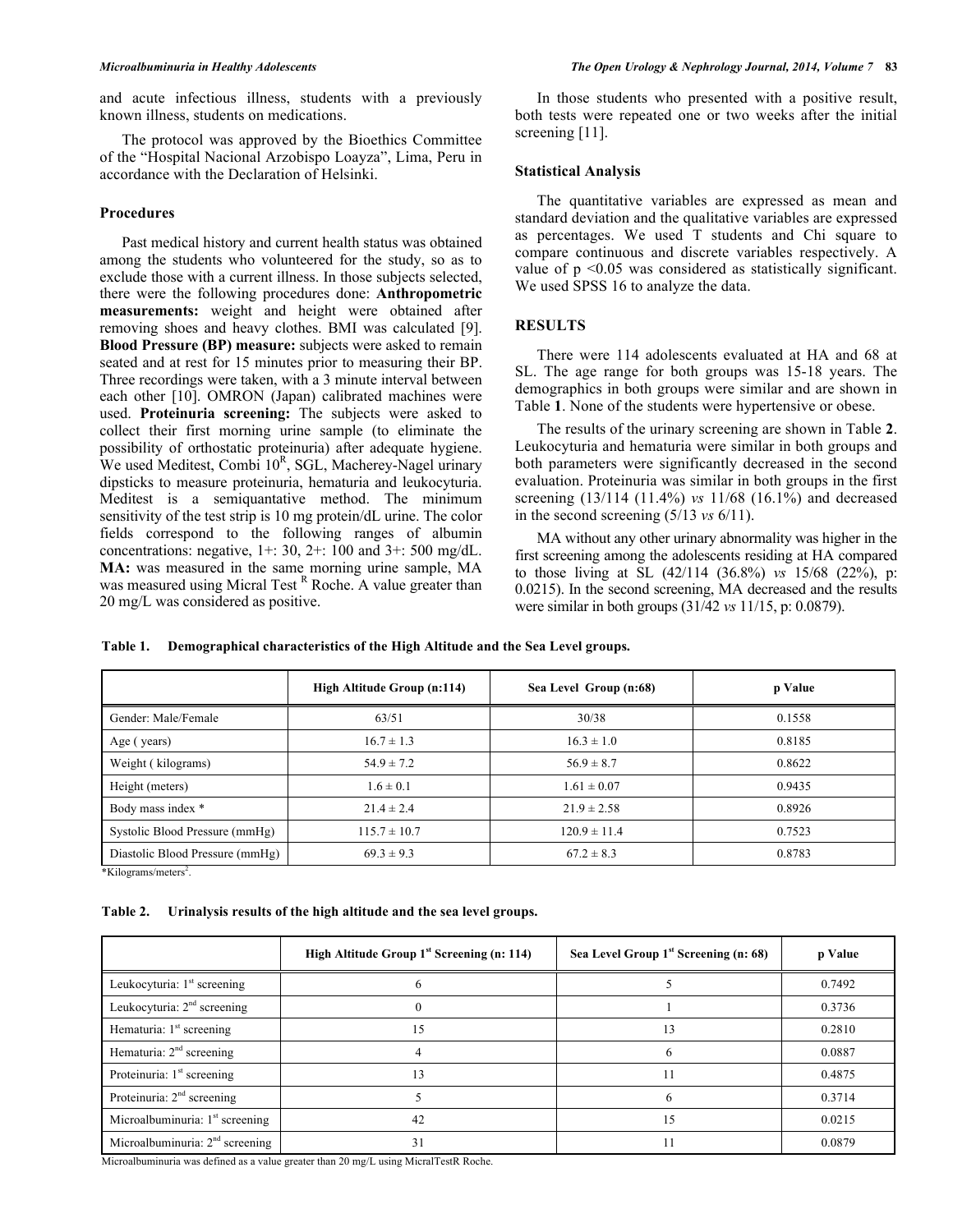and acute infectious illness, students with a previously known illness, students on medications.

The protocol was approved by the Bioethics Committee of the "Hospital Nacional Arzobispo Loayza", Lima, Peru in accordance with the Declaration of Helsinki.

#### **Procedures**

Past medical history and current health status was obtained among the students who volunteered for the study, so as to exclude those with a current illness. In those subjects selected, there were the following procedures done: **Anthropometric measurements:** weight and height were obtained after removing shoes and heavy clothes. BMI was calculated [9]. **Blood Pressure (BP) measure:** subjects were asked to remain seated and at rest for 15 minutes prior to measuring their BP. Three recordings were taken, with a 3 minute interval between each other [10]. OMRON (Japan) calibrated machines were used. **Proteinuria screening:** The subjects were asked to collect their first morning urine sample (to eliminate the possibility of orthostatic proteinuria) after adequate hygiene. We used Meditest, Combi 10<sup>R</sup>, SGL, Macherey-Nagel urinary dipsticks to measure proteinuria, hematuria and leukocyturia. Meditest is a semiquantative method. The minimum sensitivity of the test strip is 10 mg protein/dL urine. The color fields correspond to the following ranges of albumin concentrations: negative,  $1+$ : 30,  $2+$ : 100 and  $3+$ : 500 mg/dL. **MA:** was measured in the same morning urine sample, MA was measured using Micral Test R Roche. A value greater than 20 mg/L was considered as positive.

In those students who presented with a positive result, both tests were repeated one or two weeks after the initial screening [11].

#### **Statistical Analysis**

The quantitative variables are expressed as mean and standard deviation and the qualitative variables are expressed as percentages. We used T students and Chi square to compare continuous and discrete variables respectively. A value of p <0.05 was considered as statistically significant. We used SPSS 16 to analyze the data.

# **RESULTS**

There were 114 adolescents evaluated at HA and 68 at SL. The age range for both groups was 15-18 years. The demographics in both groups were similar and are shown in Table **1**. None of the students were hypertensive or obese.

The results of the urinary screening are shown in Table **2**. Leukocyturia and hematuria were similar in both groups and both parameters were significantly decreased in the second evaluation. Proteinuria was similar in both groups in the first screening (13/114 (11.4%) *vs* 11/68 (16.1%) and decreased in the second screening (5/13 *vs* 6/11).

MA without any other urinary abnormality was higher in the first screening among the adolescents residing at HA compared to those living at SL (42/114 (36.8%) *vs* 15/68 (22%), p: 0.0215). In the second screening, MA decreased and the results were similar in both groups (31/42 *vs* 11/15, p: 0.0879).

**Table 1. Demographical characteristics of the High Altitude and the Sea Level groups.**

| High Altitude Group (n:114) | Sea Level Group (n:68) | p Value |
|-----------------------------|------------------------|---------|
| 63/51                       | 30/38                  | 0.1558  |
| $16.7 \pm 1.3$              | $16.3 \pm 1.0$         | 0.8185  |
| $54.9 \pm 7.2$              | $56.9 \pm 8.7$         | 0.8622  |
| $1.6 \pm 0.1$               | $1.61 \pm 0.07$        | 0.9435  |
| $21.4 \pm 2.4$              | $21.9 \pm 2.58$        | 0.8926  |
| $115.7 \pm 10.7$            | $120.9 \pm 11.4$       | 0.7523  |
| $69.3 \pm 9.3$              | $67.2 \pm 8.3$         | 0.8783  |
|                             |                        |         |

\*Kilograms/meters<sup>2</sup>.

**Table 2. Urinalysis results of the high altitude and the sea level groups.**

|                                        | High Altitude Group 1 <sup>st</sup> Screening (n: 114) | Sea Level Group 1 <sup>st</sup> Screening (n: 68) | p Value |
|----------------------------------------|--------------------------------------------------------|---------------------------------------------------|---------|
| Leukocyturia: $1st$ screening          |                                                        |                                                   | 0.7492  |
| Leukocyturia: $2nd$ screening          |                                                        |                                                   | 0.3736  |
| Hematuria: $1st$ screening             | 15                                                     | 13                                                | 0.2810  |
| Hematuria: $2nd$ screening             |                                                        |                                                   | 0.0887  |
| Proteinuria: 1 <sup>st</sup> screening | 13                                                     |                                                   | 0.4875  |
| Proteinuria: $2nd$ screening           |                                                        |                                                   | 0.3714  |
| Microalbuminuria: $1st$ screening      | 42                                                     | 15                                                | 0.0215  |
| Microalbuminuria: $2nd$ screening      | 31                                                     |                                                   | 0.0879  |

Microalbuminuria was defined as a value greater than 20 mg/L using MicralTestR Roche.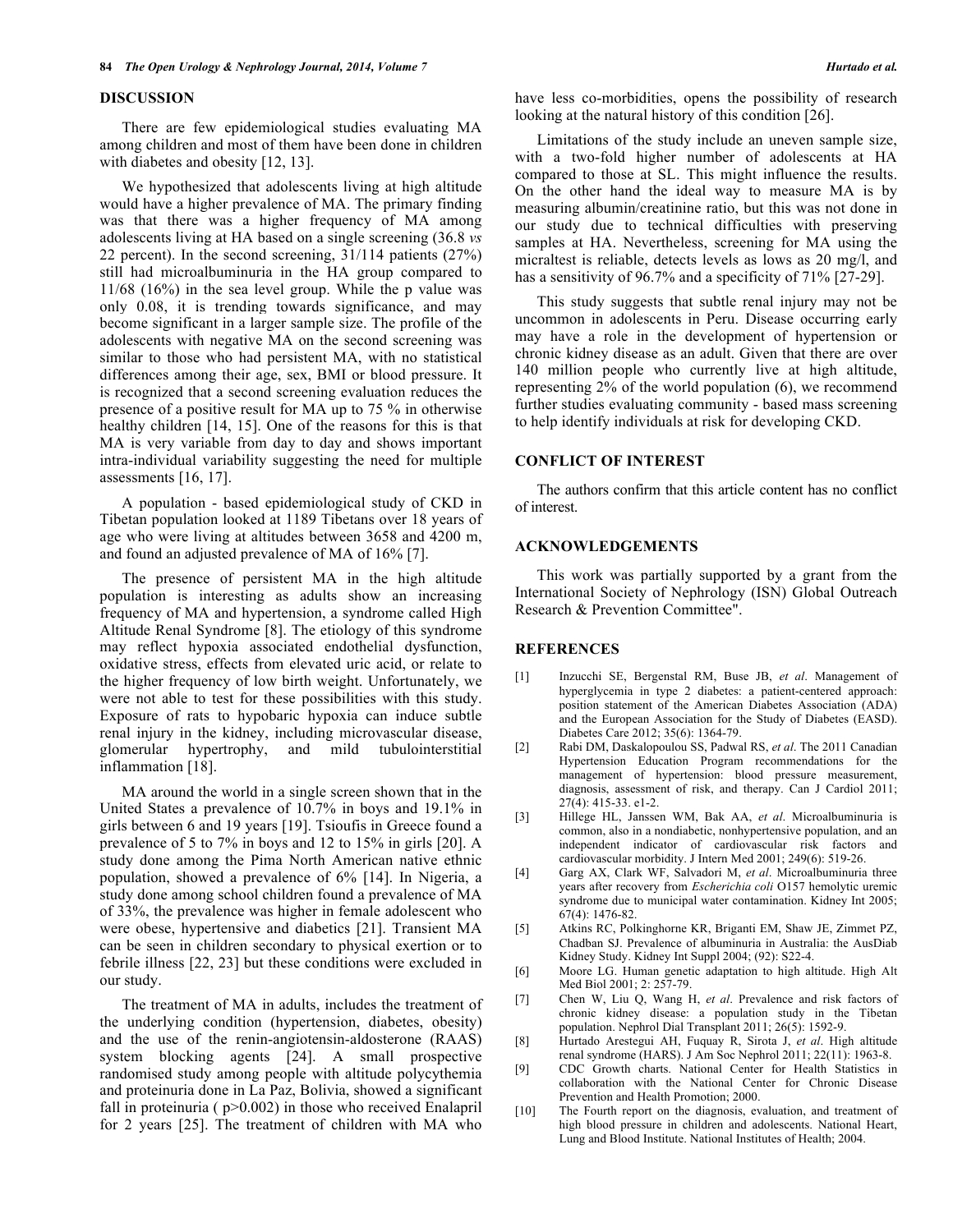#### **DISCUSSION**

There are few epidemiological studies evaluating MA among children and most of them have been done in children with diabetes and obesity [12, 13].

We hypothesized that adolescents living at high altitude would have a higher prevalence of MA. The primary finding was that there was a higher frequency of MA among adolescents living at HA based on a single screening (36.8 *vs*  22 percent). In the second screening, 31/114 patients (27%) still had microalbuminuria in the HA group compared to 11/68 (16%) in the sea level group. While the p value was only 0.08, it is trending towards significance, and may become significant in a larger sample size. The profile of the adolescents with negative MA on the second screening was similar to those who had persistent MA, with no statistical differences among their age, sex, BMI or blood pressure. It is recognized that a second screening evaluation reduces the presence of a positive result for MA up to 75 % in otherwise healthy children [14, 15]. One of the reasons for this is that MA is very variable from day to day and shows important intra-individual variability suggesting the need for multiple assessments [16, 17].

A population - based epidemiological study of CKD in Tibetan population looked at 1189 Tibetans over 18 years of age who were living at altitudes between 3658 and 4200 m, and found an adjusted prevalence of MA of 16% [7].

The presence of persistent MA in the high altitude population is interesting as adults show an increasing frequency of MA and hypertension, a syndrome called High Altitude Renal Syndrome [8]. The etiology of this syndrome may reflect hypoxia associated endothelial dysfunction, oxidative stress, effects from elevated uric acid, or relate to the higher frequency of low birth weight. Unfortunately, we were not able to test for these possibilities with this study. Exposure of rats to hypobaric hypoxia can induce subtle renal injury in the kidney, including microvascular disease, glomerular hypertrophy, and mild tubulointerstitial inflammation [18].

MA around the world in a single screen shown that in the United States a prevalence of 10.7% in boys and 19.1% in girls between 6 and 19 years [19]. Tsioufis in Greece found a prevalence of 5 to 7% in boys and 12 to 15% in girls [20]. A study done among the Pima North American native ethnic population, showed a prevalence of 6% [14]. In Nigeria, a study done among school children found a prevalence of MA of 33%, the prevalence was higher in female adolescent who were obese, hypertensive and diabetics [21]. Transient MA can be seen in children secondary to physical exertion or to febrile illness [22, 23] but these conditions were excluded in our study.

The treatment of MA in adults, includes the treatment of the underlying condition (hypertension, diabetes, obesity) and the use of the renin-angiotensin-aldosterone (RAAS) system blocking agents [24]. A small prospective randomised study among people with altitude polycythemia and proteinuria done in La Paz, Bolivia, showed a significant fall in proteinuria ( $p>0.002$ ) in those who received Enalapril for 2 years [25]. The treatment of children with MA who

have less co-morbidities, opens the possibility of research looking at the natural history of this condition [26].

Limitations of the study include an uneven sample size, with a two-fold higher number of adolescents at HA compared to those at SL. This might influence the results. On the other hand the ideal way to measure MA is by measuring albumin/creatinine ratio, but this was not done in our study due to technical difficulties with preserving samples at HA. Nevertheless, screening for MA using the micraltest is reliable, detects levels as lows as 20 mg/l, and has a sensitivity of 96.7% and a specificity of 71% [27-29].

This study suggests that subtle renal injury may not be uncommon in adolescents in Peru. Disease occurring early may have a role in the development of hypertension or chronic kidney disease as an adult. Given that there are over 140 million people who currently live at high altitude, representing 2% of the world population (6), we recommend further studies evaluating community - based mass screening to help identify individuals at risk for developing CKD.

# **CONFLICT OF INTEREST**

The authors confirm that this article content has no conflict of interest.

# **ACKNOWLEDGEMENTS**

This work was partially supported by a grant from the International Society of Nephrology (ISN) Global Outreach Research & Prevention Committee".

# **REFERENCES**

- [1] Inzucchi SE, Bergenstal RM, Buse JB, *et al*. Management of hyperglycemia in type 2 diabetes: a patient-centered approach: position statement of the American Diabetes Association (ADA) and the European Association for the Study of Diabetes (EASD). Diabetes Care 2012; 35(6): 1364-79.
- [2] Rabi DM, Daskalopoulou SS, Padwal RS, *et al*. The 2011 Canadian Hypertension Education Program recommendations for the management of hypertension: blood pressure measurement, diagnosis, assessment of risk, and therapy. Can J Cardiol 2011; 27(4): 415-33. e1-2.
- [3] Hillege HL, Janssen WM, Bak AA, *et al*. Microalbuminuria is common, also in a nondiabetic, nonhypertensive population, and an independent indicator of cardiovascular risk factors and cardiovascular morbidity. J Intern Med 2001; 249(6): 519-26.
- [4] Garg AX, Clark WF, Salvadori M, *et al*. Microalbuminuria three years after recovery from *Escherichia coli* O157 hemolytic uremic syndrome due to municipal water contamination. Kidney Int 2005; 67(4): 1476-82.
- [5] Atkins RC, Polkinghorne KR, Briganti EM, Shaw JE, Zimmet PZ, Chadban SJ. Prevalence of albuminuria in Australia: the AusDiab Kidney Study. Kidney Int Suppl 2004; (92): S22-4.
- [6] Moore LG. Human genetic adaptation to high altitude. High Alt Med Biol 2001; 2: 257-79.
- [7] Chen W, Liu Q, Wang H, *et al*. Prevalence and risk factors of chronic kidney disease: a population study in the Tibetan population. Nephrol Dial Transplant 2011; 26(5): 1592-9.
- [8] Hurtado Arestegui AH, Fuquay R, Sirota J, *et al*. High altitude renal syndrome (HARS). J Am Soc Nephrol 2011; 22(11): 1963-8.
- [9] CDC Growth charts. National Center for Health Statistics in collaboration with the National Center for Chronic Disease Prevention and Health Promotion; 2000.
- [10] The Fourth report on the diagnosis, evaluation, and treatment of high blood pressure in children and adolescents. National Heart, Lung and Blood Institute. National Institutes of Health; 2004.